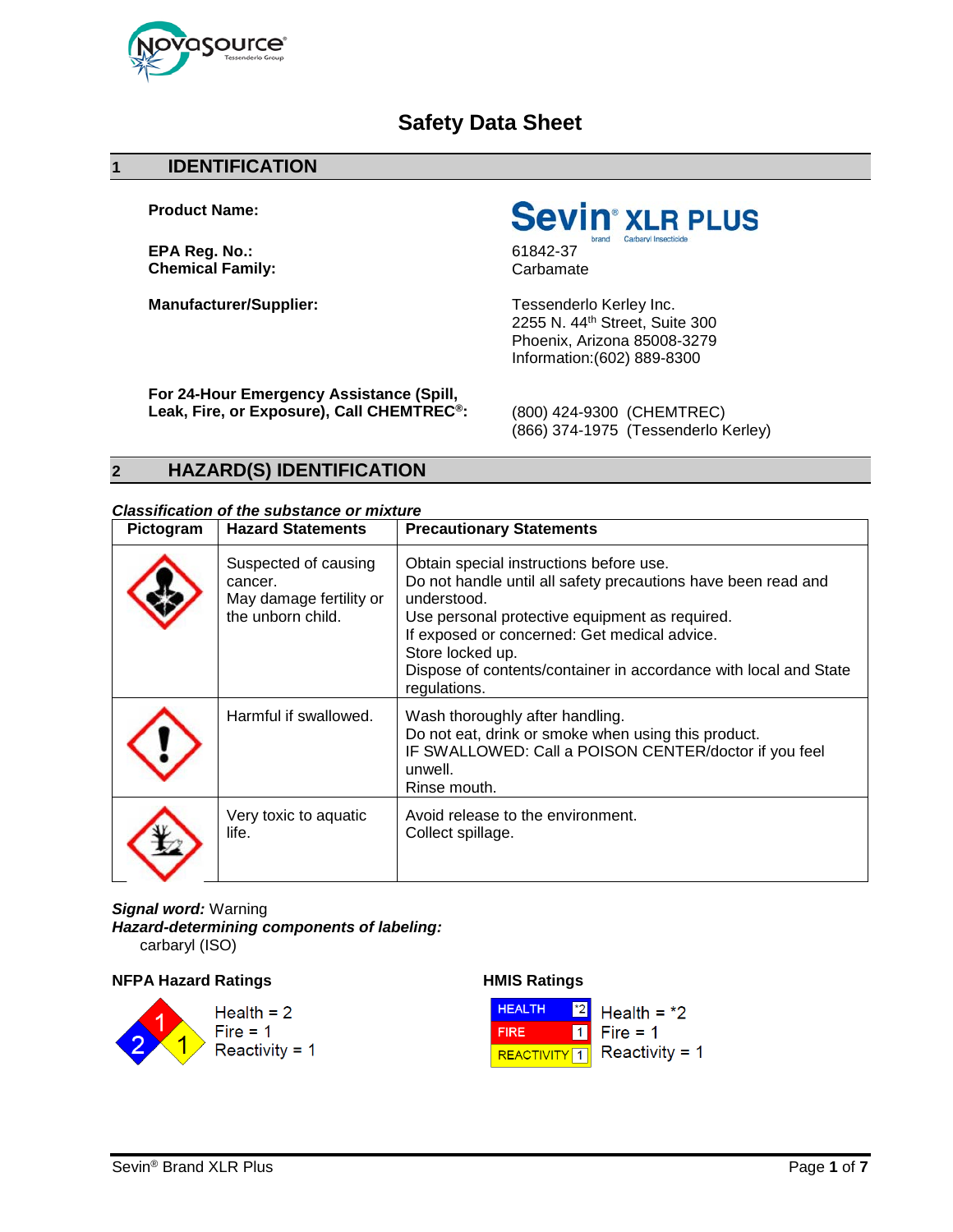

# **Safety Data Sheet**

#### **1 IDENTIFICATION**

**Product Name:**

**EPA Reg. No.:**<br> **Chemical Family:**<br> **Chemical Family:**Carbamate **Chemical Family:** 

**Sevin**<sup>®</sup> XLR PLUS

**Manufacturer/Supplier:** Tessenderlo Kerley Inc. 2255 N. 44th Street, Suite 300 Phoenix, Arizona 85008-3279 Information:(602) 889-8300

**For 24-Hour Emergency Assistance (Spill, Leak, Fire, or Exposure), Call CHEMTREC®:** (800) 424-9300 (CHEMTREC)

(866) 374-1975 (Tessenderlo Kerley)

# **2 HAZARD(S) IDENTIFICATION**

# *Classification of the substance or mixture*

| Pictogram | <b>Hazard Statements</b>                                                        | <b>Precautionary Statements</b>                                                                                                                                                                                                                                                                                                   |
|-----------|---------------------------------------------------------------------------------|-----------------------------------------------------------------------------------------------------------------------------------------------------------------------------------------------------------------------------------------------------------------------------------------------------------------------------------|
|           | Suspected of causing<br>cancer.<br>May damage fertility or<br>the unborn child. | Obtain special instructions before use.<br>Do not handle until all safety precautions have been read and<br>understood.<br>Use personal protective equipment as required.<br>If exposed or concerned: Get medical advice.<br>Store locked up.<br>Dispose of contents/container in accordance with local and State<br>regulations. |
|           | Harmful if swallowed.                                                           | Wash thoroughly after handling.<br>Do not eat, drink or smoke when using this product.<br>IF SWALLOWED: Call a POISON CENTER/doctor if you feel<br>unwell.<br>Rinse mouth.                                                                                                                                                        |
|           | Very toxic to aquatic<br>life.                                                  | Avoid release to the environment.<br>Collect spillage.                                                                                                                                                                                                                                                                            |

*Signal word:* Warning *Hazard-determining components of labeling:* carbaryl (ISO)

**NFPA Hazard Ratings HMIS Ratings** 



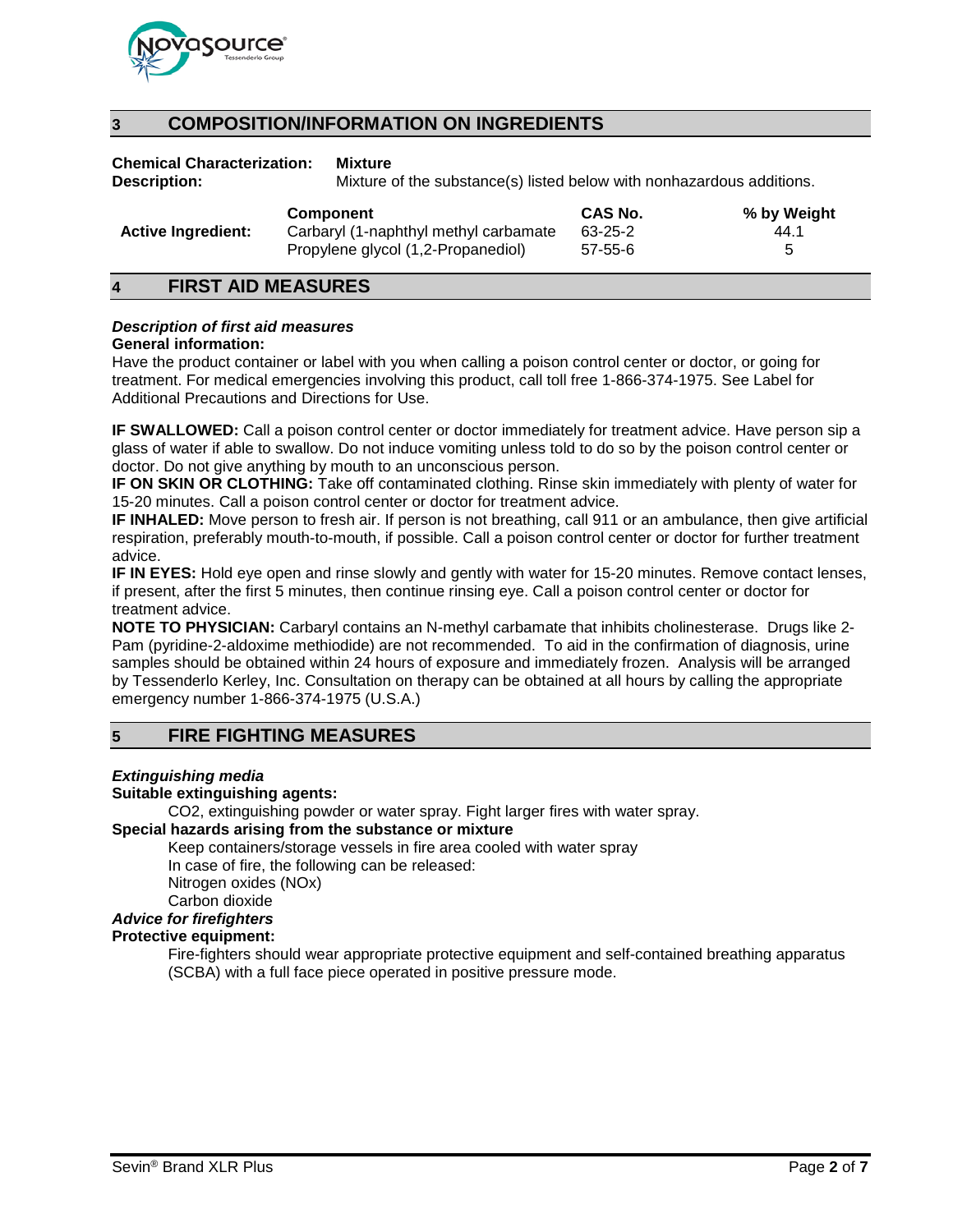

# **3 COMPOSITION/INFORMATION ON INGREDIENTS**

**Chemical Characterization: Mixture**

**Description:** Mixture of the substance(s) listed below with nonhazardous additions.

| Propylene glycol (1,2-Propanediol) | <b>Active Ingredient:</b> | <b>Component</b>                      | <b>CAS No.</b> | % by Weight |
|------------------------------------|---------------------------|---------------------------------------|----------------|-------------|
| 57-55-6                            |                           | Carbaryl (1-naphthyl methyl carbamate | 63-25-2        | 44.1        |

### **4 FIRST AID MEASURES**

#### *Description of first aid measures*

#### **General information:**

Have the product container or label with you when calling a poison control center or doctor, or going for treatment. For medical emergencies involving this product, call toll free 1-866-374-1975. See Label for Additional Precautions and Directions for Use.

**IF SWALLOWED:** Call a poison control center or doctor immediately for treatment advice. Have person sip a glass of water if able to swallow. Do not induce vomiting unless told to do so by the poison control center or doctor. Do not give anything by mouth to an unconscious person.

**IF ON SKIN OR CLOTHING:** Take off contaminated clothing. Rinse skin immediately with plenty of water for 15-20 minutes. Call a poison control center or doctor for treatment advice.

**IF INHALED:** Move person to fresh air. If person is not breathing, call 911 or an ambulance, then give artificial respiration, preferably mouth-to-mouth, if possible. Call a poison control center or doctor for further treatment advice.

**IF IN EYES:** Hold eye open and rinse slowly and gently with water for 15-20 minutes. Remove contact lenses, if present, after the first 5 minutes, then continue rinsing eye. Call a poison control center or doctor for treatment advice.

**NOTE TO PHYSICIAN:** Carbaryl contains an N-methyl carbamate that inhibits cholinesterase. Drugs like 2- Pam (pyridine-2-aldoxime methiodide) are not recommended. To aid in the confirmation of diagnosis, urine samples should be obtained within 24 hours of exposure and immediately frozen. Analysis will be arranged by Tessenderlo Kerley, Inc. Consultation on therapy can be obtained at all hours by calling the appropriate emergency number 1-866-374-1975 (U.S.A.)

# **5 FIRE FIGHTING MEASURES**

#### *Extinguishing media*

#### **Suitable extinguishing agents:**

CO2, extinguishing powder or water spray. Fight larger fires with water spray. **Special hazards arising from the substance or mixture**

Keep containers/storage vessels in fire area cooled with water spray In case of fire, the following can be released: Nitrogen oxides (NOx)

Carbon dioxide

*Advice for firefighters*

### **Protective equipment:**

Fire-fighters should wear appropriate protective equipment and self-contained breathing apparatus (SCBA) with a full face piece operated in positive pressure mode.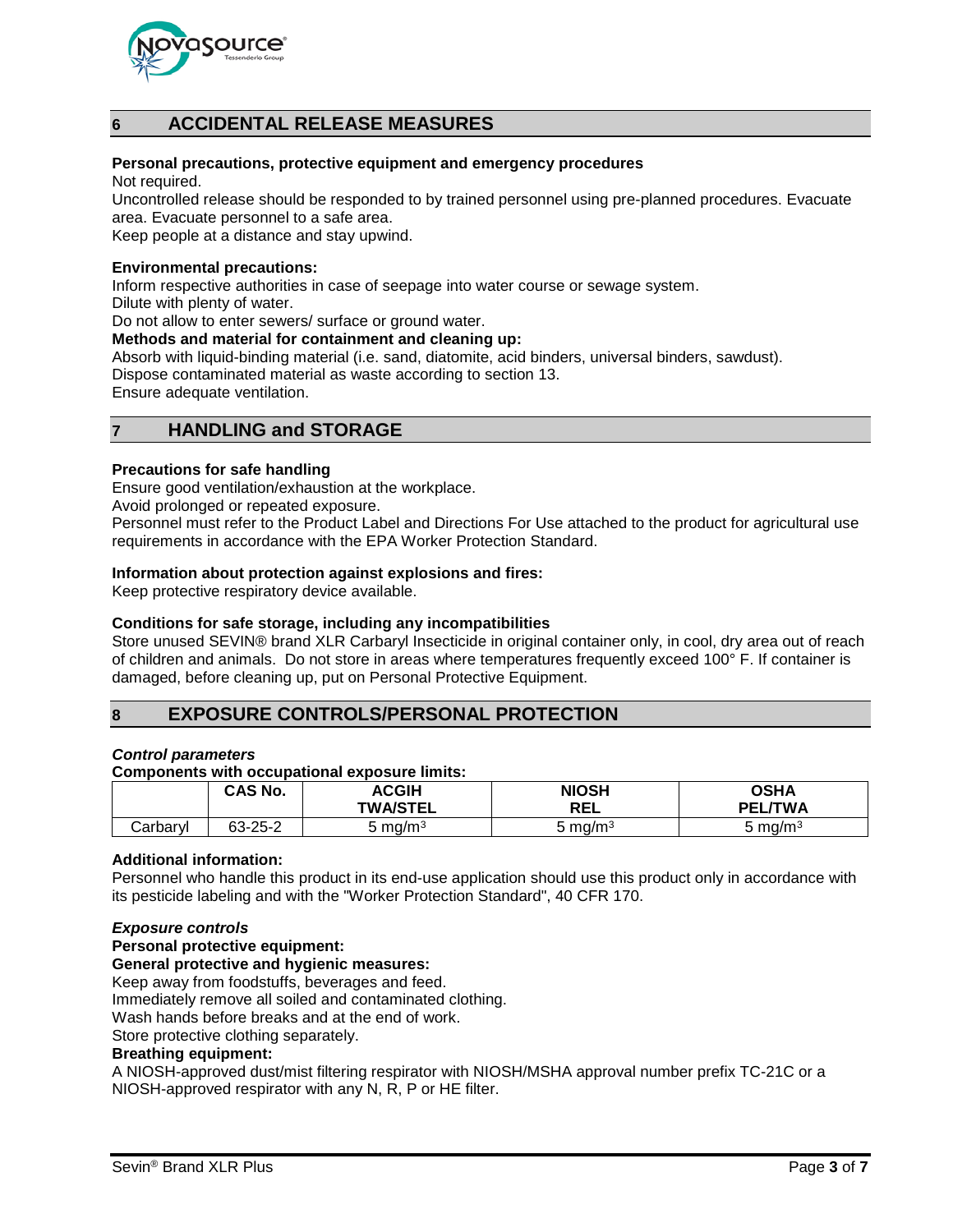

# **6 ACCIDENTAL RELEASE MEASURES**

#### **Personal precautions, protective equipment and emergency procedures**

Not required.

Uncontrolled release should be responded to by trained personnel using pre-planned procedures. Evacuate area. Evacuate personnel to a safe area.

Keep people at a distance and stay upwind.

#### **Environmental precautions:**

Inform respective authorities in case of seepage into water course or sewage system.

Dilute with plenty of water.

Do not allow to enter sewers/ surface or ground water.

#### **Methods and material for containment and cleaning up:**

Absorb with liquid-binding material (i.e. sand, diatomite, acid binders, universal binders, sawdust). Dispose contaminated material as waste according to section 13.

Ensure adequate ventilation.

# **7 HANDLING and STORAGE**

#### **Precautions for safe handling**

Ensure good ventilation/exhaustion at the workplace.

Avoid prolonged or repeated exposure.

Personnel must refer to the Product Label and Directions For Use attached to the product for agricultural use requirements in accordance with the EPA Worker Protection Standard.

#### **Information about protection against explosions and fires:**

Keep protective respiratory device available.

#### **Conditions for safe storage, including any incompatibilities**

Store unused SEVIN® brand XLR Carbaryl Insecticide in original container only, in cool, dry area out of reach of children and animals. Do not store in areas where temperatures frequently exceed 100° F. If container is damaged, before cleaning up, put on Personal Protective Equipment.

### **8 EXPOSURE CONTROLS/PERSONAL PROTECTION**

#### *Control parameters*

#### **Components with occupational exposure limits:**

|          | CAS No. | <b>ACGIH</b><br><b>TWA/STEL</b> | <b>NIOSH</b><br><b>REL</b> | OSHA<br><b>TWA</b><br>PEL |
|----------|---------|---------------------------------|----------------------------|---------------------------|
| Carbarvl | 63-25-2 | ა mg/m <sup>3</sup>             | mq/m <sup>3</sup>          | ა mg/m <sup>3</sup>       |

#### **Additional information:**

Personnel who handle this product in its end-use application should use this product only in accordance with its pesticide labeling and with the "Worker Protection Standard", 40 CFR 170.

#### *Exposure controls*

#### **Personal protective equipment:**

#### **General protective and hygienic measures:**

Keep away from foodstuffs, beverages and feed.

Immediately remove all soiled and contaminated clothing.

Wash hands before breaks and at the end of work.

Store protective clothing separately.

#### **Breathing equipment:**

A NIOSH-approved dust/mist filtering respirator with NIOSH/MSHA approval number prefix TC-21C or a NIOSH-approved respirator with any N, R, P or HE filter.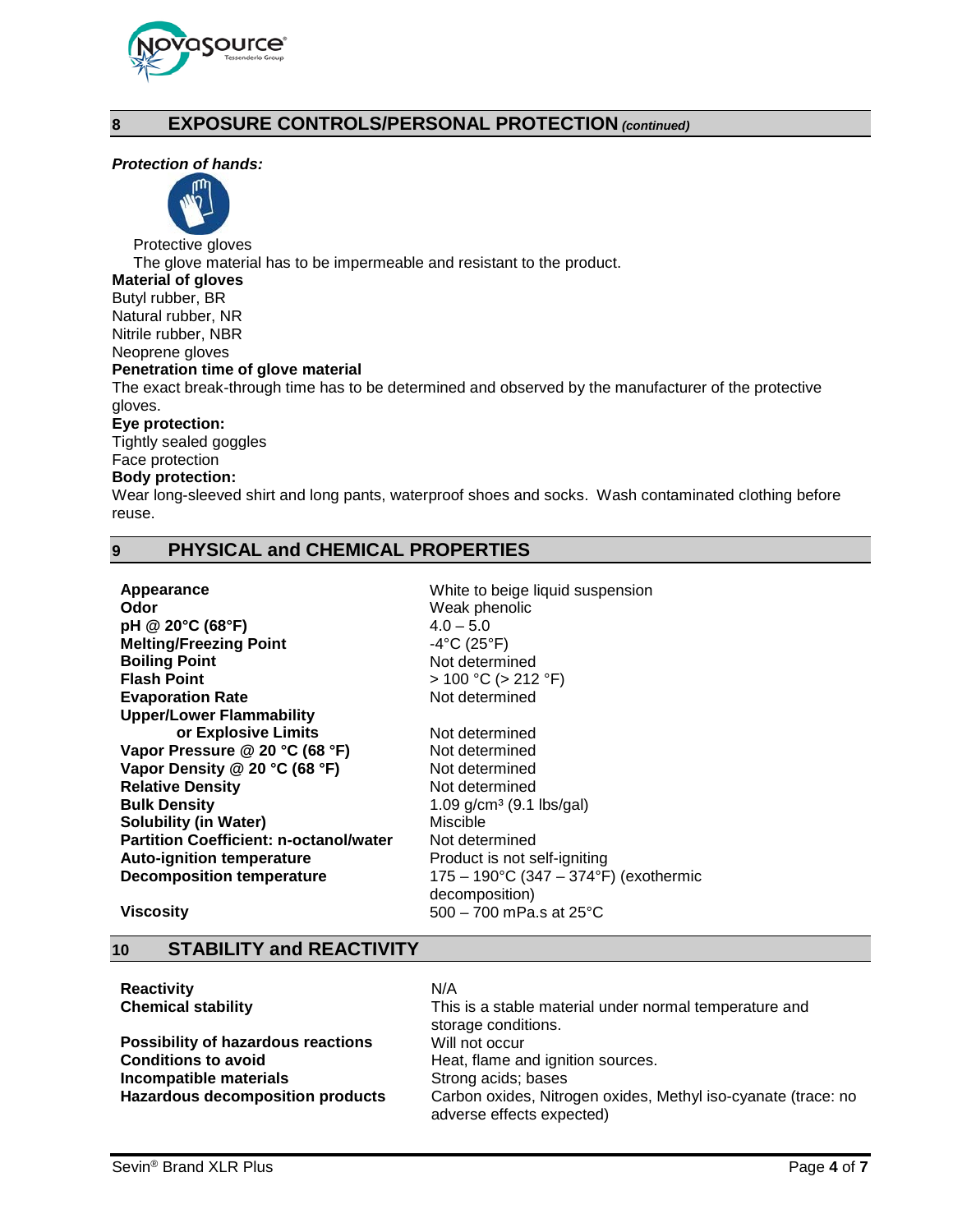

# **8 EXPOSURE CONTROLS/PERSONAL PROTECTION** *(continued)*

#### *Protection of hands:*



Protective gloves

The glove material has to be impermeable and resistant to the product.

**Material of gloves**

Butyl rubber, BR Natural rubber, NR Nitrile rubber, NBR

Neoprene gloves

#### **Penetration time of glove material**

The exact break-through time has to be determined and observed by the manufacturer of the protective gloves.

#### **Eye protection:**

Tightly sealed goggles Face protection

#### **Body protection:**

Wear long-sleeved shirt and long pants, waterproof shoes and socks. Wash contaminated clothing before reuse.

# **9 PHYSICAL and CHEMICAL PROPERTIES**

| Appearance<br>Odor<br>pH @ 20°C (68°F)<br><b>Melting/Freezing Point</b><br><b>Boiling Point</b><br><b>Flash Point</b><br><b>Evaporation Rate</b><br><b>Upper/Lower Flammability</b> | White to beige liquid suspension<br>Weak phenolic<br>$4.0 - 5.0$<br>$-4^{\circ}C(25^{\circ}F)$<br>Not determined<br>$> 100 °C$ ( $> 212 °F$ )<br>Not determined |
|-------------------------------------------------------------------------------------------------------------------------------------------------------------------------------------|-----------------------------------------------------------------------------------------------------------------------------------------------------------------|
| or Explosive Limits                                                                                                                                                                 | Not determined                                                                                                                                                  |
| Vapor Pressure @ 20 °C (68 °F)                                                                                                                                                      | Not determined                                                                                                                                                  |
| Vapor Density @ 20 °C (68 °F)                                                                                                                                                       | Not determined                                                                                                                                                  |
| <b>Relative Density</b>                                                                                                                                                             | Not determined                                                                                                                                                  |
| <b>Bulk Density</b>                                                                                                                                                                 | 1.09 $g/cm^3$ (9.1 lbs/gal)                                                                                                                                     |
| <b>Solubility (in Water)</b>                                                                                                                                                        | Miscible                                                                                                                                                        |
| <b>Partition Coefficient: n-octanol/water</b>                                                                                                                                       | Not determined                                                                                                                                                  |
| <b>Auto-ignition temperature</b>                                                                                                                                                    | Product is not self-igniting                                                                                                                                    |
| <b>Decomposition temperature</b>                                                                                                                                                    | $175 - 190^{\circ}$ C (347 – 374°F) (exothermic<br>decomposition)                                                                                               |

#### **Viscosity** 500 – 700 mPa.s at 25<sup>°</sup>C

### **10 STABILITY and REACTIVITY**

| <b>Reactivity</b>                       | N/A                                                                                        |
|-----------------------------------------|--------------------------------------------------------------------------------------------|
| <b>Chemical stability</b>               | This is a stable material under normal temperature and                                     |
|                                         | storage conditions.                                                                        |
| Possibility of hazardous reactions      | Will not occur                                                                             |
| <b>Conditions to avoid</b>              | Heat, flame and ignition sources.                                                          |
| Incompatible materials                  | Strong acids; bases                                                                        |
| <b>Hazardous decomposition products</b> | Carbon oxides, Nitrogen oxides, Methyl iso-cyanate (trace: no<br>adverse effects expected) |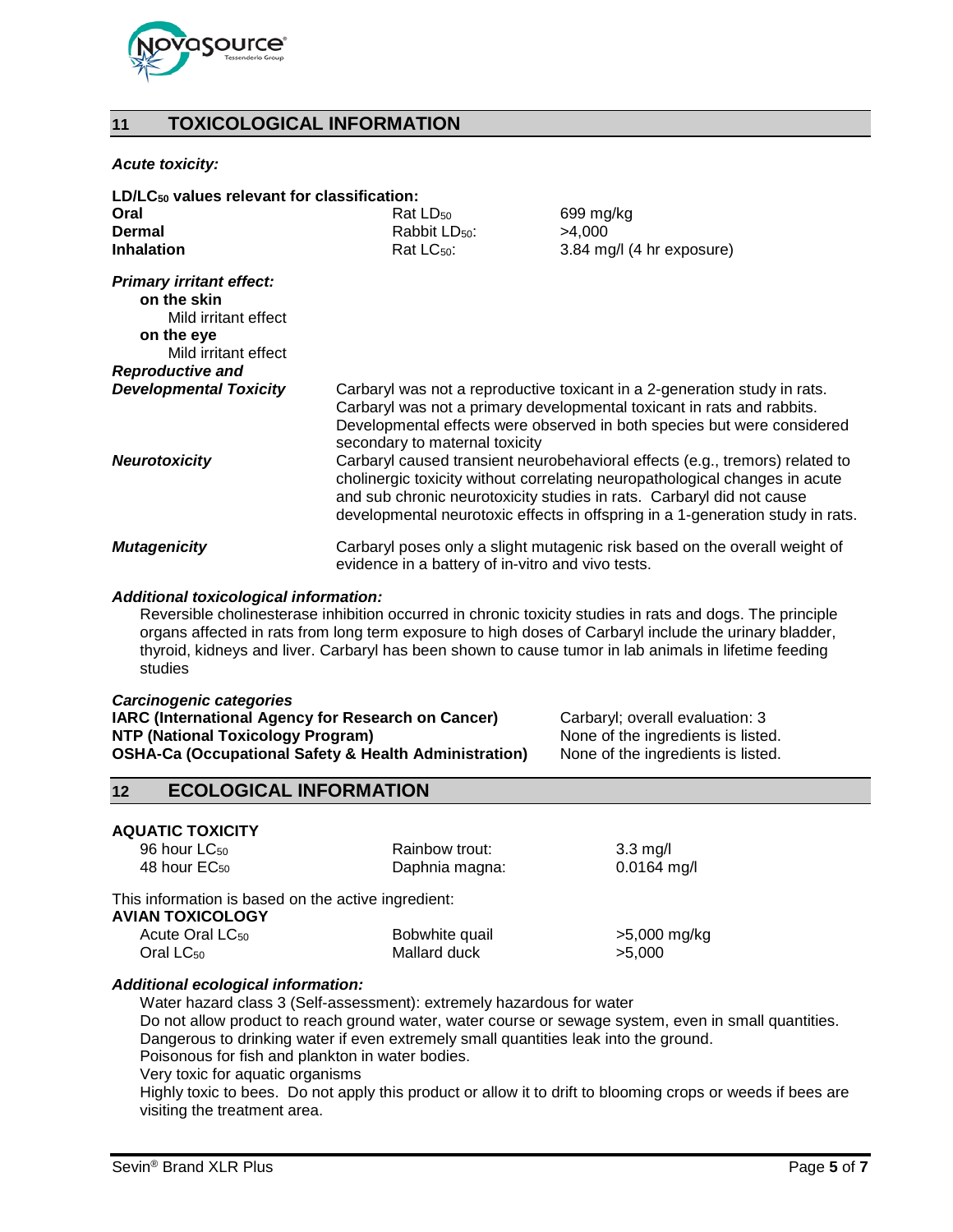

# **11 TOXICOLOGICAL INFORMATION**

#### *Acute toxicity:*

| $LD/LC_{50}$ values relevant for classification: |                                                                                                                                                                                                                                                                                                                        |                                                                            |  |
|--------------------------------------------------|------------------------------------------------------------------------------------------------------------------------------------------------------------------------------------------------------------------------------------------------------------------------------------------------------------------------|----------------------------------------------------------------------------|--|
| Oral                                             | Rat LD <sub>50</sub>                                                                                                                                                                                                                                                                                                   | 699 mg/kg                                                                  |  |
| Dermal                                           | Rabbit LD <sub>50</sub> :                                                                                                                                                                                                                                                                                              | >4,000                                                                     |  |
| <b>Inhalation</b>                                | Rat LC <sub>50</sub> :                                                                                                                                                                                                                                                                                                 | 3.84 mg/l (4 hr exposure)                                                  |  |
| <b>Primary irritant effect:</b><br>on the skin   |                                                                                                                                                                                                                                                                                                                        |                                                                            |  |
| Mild irritant effect                             |                                                                                                                                                                                                                                                                                                                        |                                                                            |  |
| on the eye<br>Mild irritant effect               |                                                                                                                                                                                                                                                                                                                        |                                                                            |  |
| <b>Reproductive and</b>                          |                                                                                                                                                                                                                                                                                                                        |                                                                            |  |
| <b>Developmental Toxicity</b>                    | Carbaryl was not a reproductive toxicant in a 2-generation study in rats.<br>Carbaryl was not a primary developmental toxicant in rats and rabbits.<br>Developmental effects were observed in both species but were considered<br>secondary to maternal toxicity                                                       |                                                                            |  |
| <b>Neurotoxicity</b>                             | Carbaryl caused transient neurobehavioral effects (e.g., tremors) related to<br>cholinergic toxicity without correlating neuropathological changes in acute<br>and sub chronic neurotoxicity studies in rats. Carbaryl did not cause<br>developmental neurotoxic effects in offspring in a 1-generation study in rats. |                                                                            |  |
| <b>Mutagenicity</b>                              | evidence in a battery of in-vitro and vivo tests.                                                                                                                                                                                                                                                                      | Carbaryl poses only a slight mutagenic risk based on the overall weight of |  |

#### *Additional toxicological information:*

Reversible cholinesterase inhibition occurred in chronic toxicity studies in rats and dogs. The principle organs affected in rats from long term exposure to high doses of Carbaryl include the urinary bladder, thyroid, kidneys and liver. Carbaryl has been shown to cause tumor in lab animals in lifetime feeding studies

#### *Carcinogenic categories*

| <b>IARC (International Agency for Research on Cancer)</b>        |
|------------------------------------------------------------------|
| NTP (National Toxicology Program)                                |
| <b>OSHA-Ca (Occupational Safety &amp; Health Administration)</b> |

Carbaryl; overall evaluation: 3 None of the ingredients is listed. None of the ingredients is listed.

# **12 ECOLOGICAL INFORMATION**

# **AQUATIC TOXICITY**<br>96 hour LC<sub>50</sub>

Rainbow trout: 3.3 mg/l 48 hour EC<sub>50</sub> **Daphnia magna:** 0.0164 mg/l

#### This information is based on the active ingredient: **AVIAN TOXICOLOGY**

| IAN TUAIGULUUT              |                |              |
|-----------------------------|----------------|--------------|
| Acute Oral LC <sub>50</sub> | Bobwhite quail | >5,000 mg/kg |
| Oral $LC_{50}$              | Mallard duck   | >5.000       |

#### *Additional ecological information:*

Water hazard class 3 (Self-assessment): extremely hazardous for water Do not allow product to reach ground water, water course or sewage system, even in small quantities. Dangerous to drinking water if even extremely small quantities leak into the ground. Poisonous for fish and plankton in water bodies.

Very toxic for aquatic organisms

Highly toxic to bees. Do not apply this product or allow it to drift to blooming crops or weeds if bees are visiting the treatment area.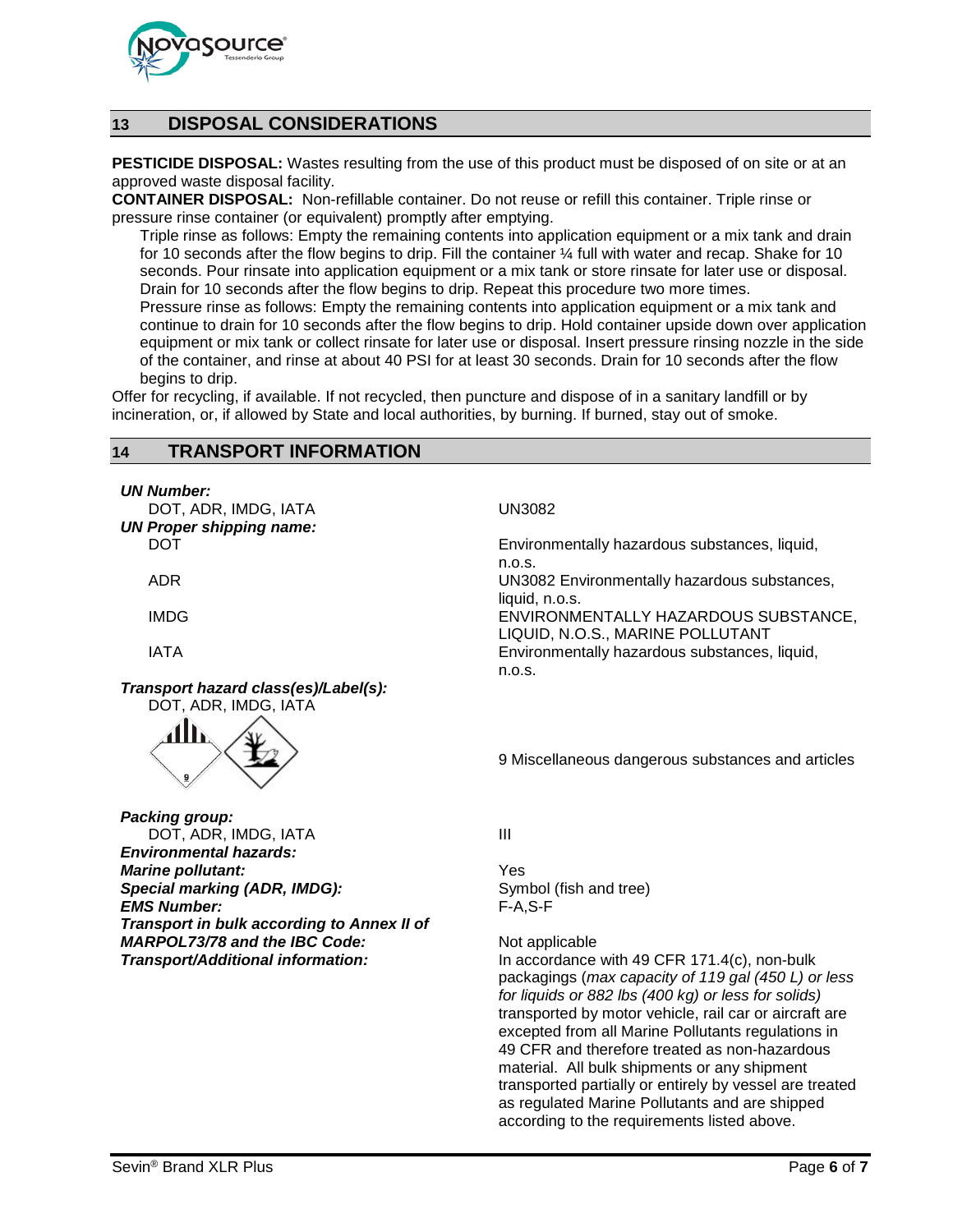

# **13 DISPOSAL CONSIDERATIONS**

**PESTICIDE DISPOSAL:** Wastes resulting from the use of this product must be disposed of on site or at an approved waste disposal facility.

**CONTAINER DISPOSAL:** Non-refillable container. Do not reuse or refill this container. Triple rinse or pressure rinse container (or equivalent) promptly after emptying.

Triple rinse as follows: Empty the remaining contents into application equipment or a mix tank and drain for 10 seconds after the flow begins to drip. Fill the container  $\frac{1}{4}$  full with water and recap. Shake for 10 seconds. Pour rinsate into application equipment or a mix tank or store rinsate for later use or disposal. Drain for 10 seconds after the flow begins to drip. Repeat this procedure two more times.

Pressure rinse as follows: Empty the remaining contents into application equipment or a mix tank and continue to drain for 10 seconds after the flow begins to drip. Hold container upside down over application equipment or mix tank or collect rinsate for later use or disposal. Insert pressure rinsing nozzle in the side of the container, and rinse at about 40 PSI for at least 30 seconds. Drain for 10 seconds after the flow begins to drip.

Offer for recycling, if available. If not recycled, then puncture and dispose of in a sanitary landfill or by incineration, or, if allowed by State and local authorities, by burning. If burned, stay out of smoke.

# **14 TRANSPORT INFORMATION**

*UN Number:*

DOT, ADR, IMDG, IATA UN3082 *UN Proper shipping name:*

*Transport hazard class(es)/Label(s):* DOT, ADR, IMDG, IATA



DOT **Environmentally hazardous substances, liquid,** Environmentally hazardous substances, liquid, n.o.s. ADR UN3082 Environmentally hazardous substances, liquid, n.o.s. IMDG ENVIRONMENTALLY HAZARDOUS SUBSTANCE, LIQUID, N.O.S., MARINE POLLUTANT IATA Environmentally hazardous substances, liquid, n.o.s.

9 Miscellaneous dangerous substances and articles

*Packing group:* DOT, ADR, IMDG, IATA III *Environmental hazards:* **Marine pollutant:**<br> **Special marking (ADR, IMDG):** Symbol (fish and tree) **Special marking (ADR, IMDG):** Symbol (fish and tree) Symbol (fish and tree) symbol (fish and tree) symbol (fish a<br>**F-A,S-F** and tree (fish and tree) symbol (fish and tree) symbol (fish and tree) symbol (fish and tree) sym **EMS Number:** *Transport in bulk according to Annex II of MARPOL73/78 and the IBC Code:* Not applicable

**Transport/Additional information:** In accordance with 49 CFR 171.4(c), non-bulk packagings (*max capacity of 119 gal (450 L) or less for liquids or 882 lbs (400 kg) or less for solids)* transported by motor vehicle, rail car or aircraft are excepted from all Marine Pollutants regulations in 49 CFR and therefore treated as non-hazardous material. All bulk shipments or any shipment transported partially or entirely by vessel are treated as regulated Marine Pollutants and are shipped according to the requirements listed above.